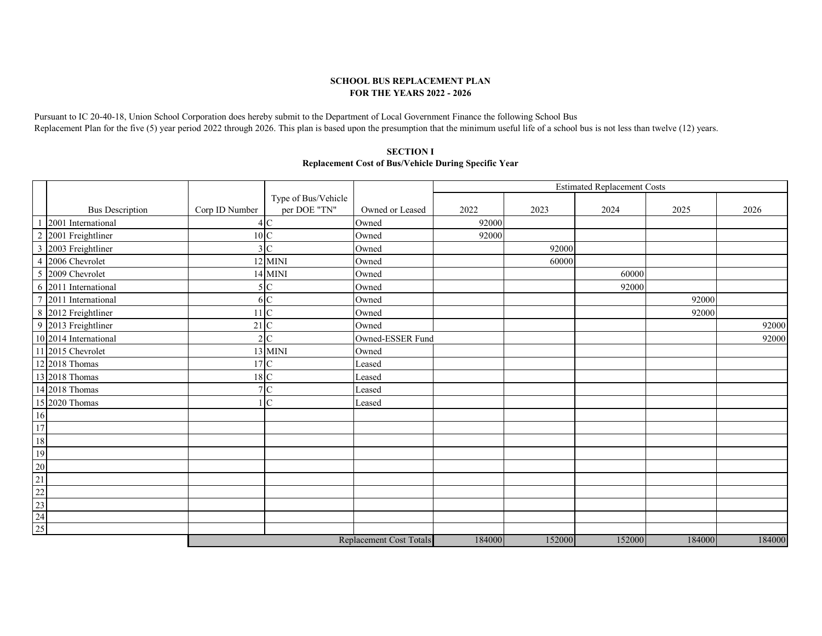## **SCHOOL BUS REPLACEMENT PLAN FOR THE YEARS 2022 - 2026**

Pursuant to IC 20-40-18, Union School Corporation does hereby submit to the Department of Local Government Finance the following School Bus Replacement Plan for the five (5) year period 2022 through 2026. This plan is based upon the presumption that the minimum useful life of a school bus is not less than twelve (12) years.

## **Replacement Cost of Bus/Vehicle During Specific Year SECTION I**

|                                      |                |                     |                         | <b>Estimated Replacement Costs</b> |        |        |        |        |
|--------------------------------------|----------------|---------------------|-------------------------|------------------------------------|--------|--------|--------|--------|
|                                      |                | Type of Bus/Vehicle |                         |                                    |        |        |        |        |
| <b>Bus Description</b>               | Corp ID Number | per DOE "TN"        | Owned or Leased         | 2022                               | 2023   | 2024   | 2025   | 2026   |
| 2001 International                   | $\overline{4}$ | $\mathbf C$         | Owned                   | 92000                              |        |        |        |        |
| 2 2001 Freightliner                  |                | 10 C                | Owned                   | 92000                              |        |        |        |        |
| 3 2003 Freightliner                  | 3              | $\mathbf C$         | Owned                   |                                    | 92000  |        |        |        |
| 4 2006 Chevrolet                     |                | 12 MINI             | Owned                   |                                    | 60000  |        |        |        |
| 5 2009 Chevrolet                     |                | 14 MINI             | Owned                   |                                    |        | 60000  |        |        |
| 6 2011 International                 | 5              | $\mathbf C$         | Owned                   |                                    |        | 92000  |        |        |
| $\overline{7}$<br>2011 International |                | 6 C                 | Owned                   |                                    |        |        | 92000  |        |
| 8 2012 Freightliner                  |                | $\overline{C}$      | Owned                   |                                    |        |        | 92000  |        |
| 9 2013 Freightliner                  | 21             | $\mathbf C$         | Owned                   |                                    |        |        |        | 92000  |
| 10 2014 International                | $\overline{2}$ | $\mathcal{C}$       | Owned-ESSER Fund        |                                    |        |        |        | 92000  |
| 11 2015 Chevrolet                    |                | 13 MINI             | Owned                   |                                    |        |        |        |        |
| 12 2018 Thomas                       |                | 17C                 | Leased                  |                                    |        |        |        |        |
| 13 2018 Thomas                       |                | 18 C                | Leased                  |                                    |        |        |        |        |
| 14 2018 Thomas                       | $\overline{7}$ | $\mathbf C$         | Leased                  |                                    |        |        |        |        |
| 15 2020 Thomas                       |                | $\mathbf C$         | Leased                  |                                    |        |        |        |        |
| 16                                   |                |                     |                         |                                    |        |        |        |        |
| 17                                   |                |                     |                         |                                    |        |        |        |        |
| $18\,$                               |                |                     |                         |                                    |        |        |        |        |
| 19                                   |                |                     |                         |                                    |        |        |        |        |
| $20\,$                               |                |                     |                         |                                    |        |        |        |        |
| 21                                   |                |                     |                         |                                    |        |        |        |        |
| $22\,$                               |                |                     |                         |                                    |        |        |        |        |
| $23\,$                               |                |                     |                         |                                    |        |        |        |        |
| 24                                   |                |                     |                         |                                    |        |        |        |        |
| 25                                   |                |                     |                         |                                    |        |        |        |        |
|                                      |                |                     | Replacement Cost Totals | 184000                             | 152000 | 152000 | 184000 | 184000 |